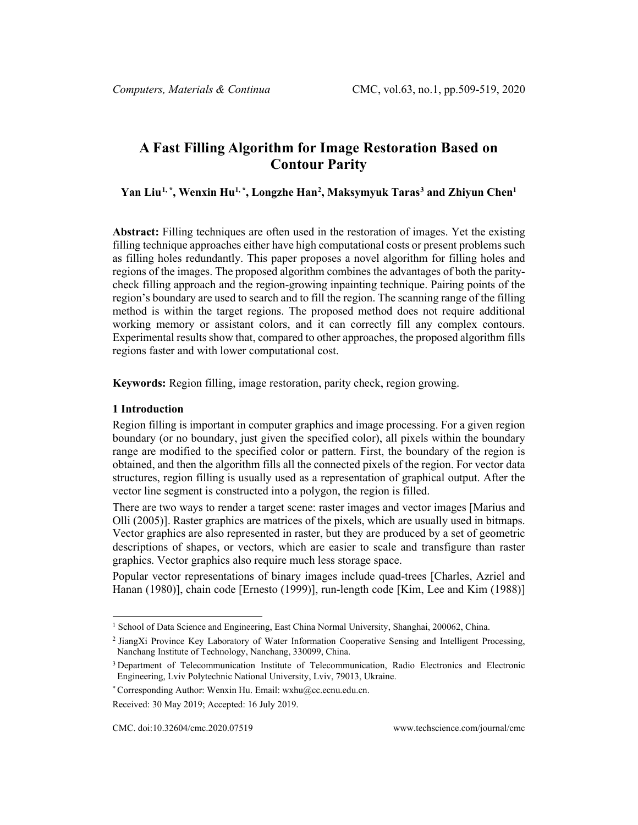# **A Fast Filling Algorithm for Image Restoration Based on Contour Parity**

#### **Yan Liu[1,](#page-0-0) \* , Wenxin Hu1, \*, Longzhe Han[2](#page-0-1) , Maksymyuk Taras[3](#page-0-2) and Zhiyun Chen1**

**Abstract:** Filling techniques are often used in the restoration of images. Yet the existing filling technique approaches either have high computational costs or present problems such as filling holes redundantly. This paper proposes a novel algorithm for filling holes and regions of the images. The proposed algorithm combines the advantages of both the paritycheck filling approach and the region-growing inpainting technique. Pairing points of the region's boundary are used to search and to fill the region. The scanning range of the filling method is within the target regions. The proposed method does not require additional working memory or assistant colors, and it can correctly fill any complex contours. Experimental results show that, compared to other approaches, the proposed algorithm fills regions faster and with lower computational cost.

**Keywords:** Region filling, image restoration, parity check, region growing.

#### **1 Introduction**

Region filling is important in computer graphics and image processing. For a given region boundary (or no boundary, just given the specified color), all pixels within the boundary range are modified to the specified color or pattern. First, the boundary of the region is obtained, and then the algorithm fills all the connected pixels of the region. For vector data structures, region filling is usually used as a representation of graphical output. After the vector line segment is constructed into a polygon, the region is filled.

There are two ways to render a target scene: raster images and vector images [Marius and Olli (2005)]. Raster graphics are matrices of the pixels, which are usually used in bitmaps. Vector graphics are also represented in raster, but they are produced by a set of geometric descriptions of shapes, or vectors, which are easier to scale and transfigure than raster graphics. Vector graphics also require much less storage space.

Popular vector representations of binary images include quad-trees [Charles, Azriel and Hanan (1980)], chain code [Ernesto (1999)], run-length code [Kim, Lee and Kim (1988)]

<span id="page-0-0"></span><sup>1</sup> School of Data Science and Engineering, East China Normal University, Shanghai, 200062, China.

<span id="page-0-1"></span><sup>2</sup> JiangXi Province Key Laboratory of Water Information Cooperative Sensing and Intelligent Processing, Nanchang Institute of Technology, Nanchang, 330099, China.

<span id="page-0-2"></span><sup>&</sup>lt;sup>3</sup> Department of Telecommunication Institute of Telecommunication, Radio Electronics and Electronic Engineering, Lviv Polytechnic National University, Lviv, 79013, Ukraine.

<sup>\*</sup> Corresponding Author: Wenxin Hu. Email: wxhu@cc.ecnu.edu.cn.

Received: 30 May 2019; Accepted: 16 July 2019.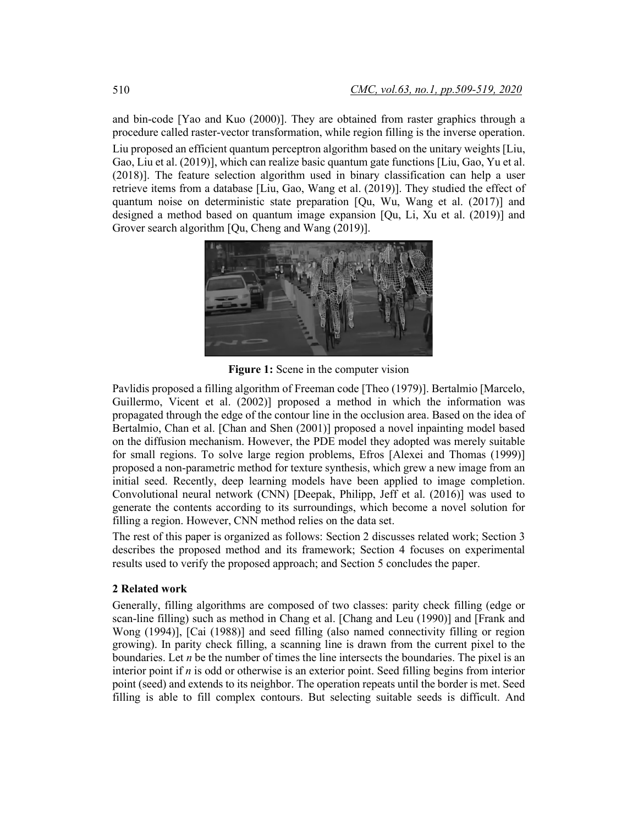and bin-code [Yao and Kuo (2000)]. They are obtained from raster graphics through a procedure called raster-vector transformation, while region filling is the inverse operation. Liu proposed an efficient quantum perceptron algorithm based on the unitary weights [Liu, Gao, Liu et al. (2019)], which can realize basic quantum gate functions [Liu, Gao, Yu et al. (2018)]. The feature selection algorithm used in binary classification can help a user retrieve items from a database [Liu, Gao, Wang et al. (2019)]. They studied the effect of quantum noise on deterministic state preparation [Qu, Wu, Wang et al. (2017)] and designed a method based on quantum image expansion [Qu, Li, Xu et al. (2019)] and Grover search algorithm [Qu, Cheng and Wang (2019)].



**Figure 1:** Scene in the computer vision

Pavlidis proposed a filling algorithm of Freeman code [Theo (1979)]. Bertalmio [Marcelo, Guillermo, Vicent et al. (2002)] proposed a method in which the information was propagated through the edge of the contour line in the occlusion area. Based on the idea of Bertalmio, Chan et al. [Chan and Shen (2001)] proposed a novel inpainting model based on the diffusion mechanism. However, the PDE model they adopted was merely suitable for small regions. To solve large region problems, Efros [Alexei and Thomas (1999)] proposed a non-parametric method for texture synthesis, which grew a new image from an initial seed. Recently, deep learning models have been applied to image completion. Convolutional neural network (CNN) [Deepak, Philipp, Jeff et al. (2016)] was used to generate the contents according to its surroundings, which become a novel solution for filling a region. However, CNN method relies on the data set.

The rest of this paper is organized as follows: Section 2 discusses related work; Section 3 describes the proposed method and its framework; Section 4 focuses on experimental results used to verify the proposed approach; and Section 5 concludes the paper.

#### **2 Related work**

Generally, filling algorithms are composed of two classes: parity check filling (edge or scan-line filling) such as method in Chang et al. [Chang and Leu (1990)] and [Frank and Wong (1994)], [Cai (1988)] and seed filling (also named connectivity filling or region growing). In parity check filling, a scanning line is drawn from the current pixel to the boundaries. Let *n* be the number of times the line intersects the boundaries. The pixel is an interior point if *n* is odd or otherwise is an exterior point. Seed filling begins from interior point (seed) and extends to its neighbor. The operation repeats until the border is met. Seed filling is able to fill complex contours. But selecting suitable seeds is difficult. And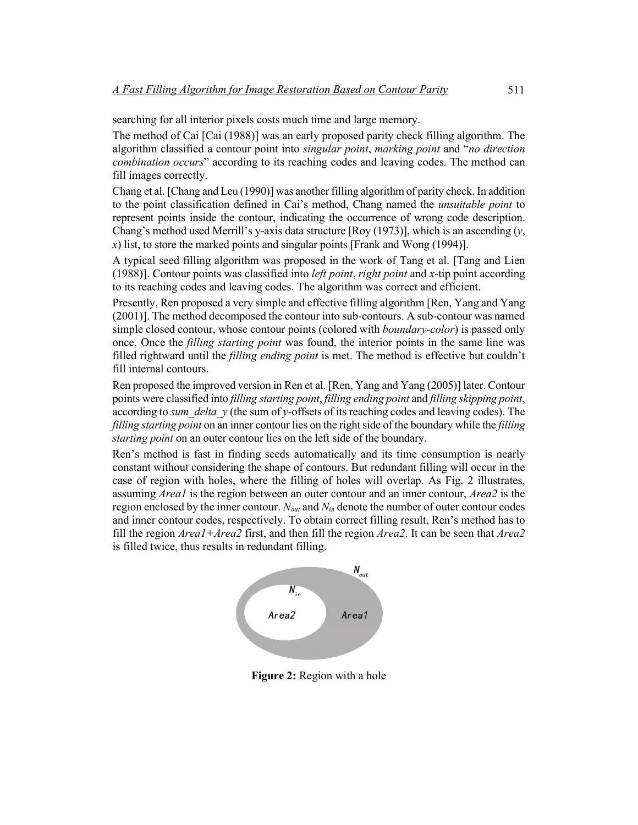searching for all interior pixels costs much time and large memory.

The method of Cai [Cai (1988)] was an early proposed parity check filling algorithm. The algorithm classified a contour point into *singular point*, *marking point* and "*no direction combination occurs*" according to its reaching codes and leaving codes. The method can fill images correctly.

Chang et al. [Chang and Leu (1990)] was another filling algorithm of parity check. In addition to the point classification defined in Cai's method, Chang named the *unsuitable point* to represent points inside the contour, indicating the occurrence of wrong code description. Chang's method used Merrill's y-axis data structure [Roy (1973)], which is an ascending (*y*, *x*) list, to store the marked points and singular points [Frank and Wong (1994)].

A typical seed filling algorithm was proposed in the work of Tang et al. [Tang and Lien (1988)]. Contour points was classified into *left point*, *right point* and *x*-tip point according to its reaching codes and leaving codes. The algorithm was correct and efficient.

Presently, Ren proposed a very simple and effective filling algorithm [Ren, Yang and Yang (2001)]. The method decomposed the contour into sub-contours. A sub-contour was named simple closed contour, whose contour points (colored with *boundary-color*) is passed only once. Once the *filling starting point* was found, the interior points in the same line was filled rightward until the *filling ending point* is met. The method is effective but couldn't fill internal contours.

Ren proposed the improved version in Ren et al. [Ren, Yang and Yang (2005)] later. Contour points were classified into *filling starting point*, *filling ending point* and *filling skipping point*, according to *sum\_delta\_y* (the sum of *y*-offsets of its reaching codes and leaving codes). The *filling starting point* on an inner contour lies on the right side of the boundary while the *filling starting point* on an outer contour lies on the left side of the boundary.

Ren's method is fast in finding seeds automatically and its time consumption is nearly constant without considering the shape of contours. But redundant filling will occur in the case of region with holes, where the filling of holes will overlap. As Fig. 2 illustrates, assuming *Area1* is the region between an outer contour and an inner contour, *Area2* is the region enclosed by the inner contour. *Nout* and *Nin* denote the number of outer contour codes and inner contour codes, respectively. To obtain correct filling result, Ren's method has to fill the region *Area1+Area2* first, and then fill the region *Area2*. It can be seen that *Area2* is filled twice, thus results in redundant filling.



**Figure 2:** Region with a hole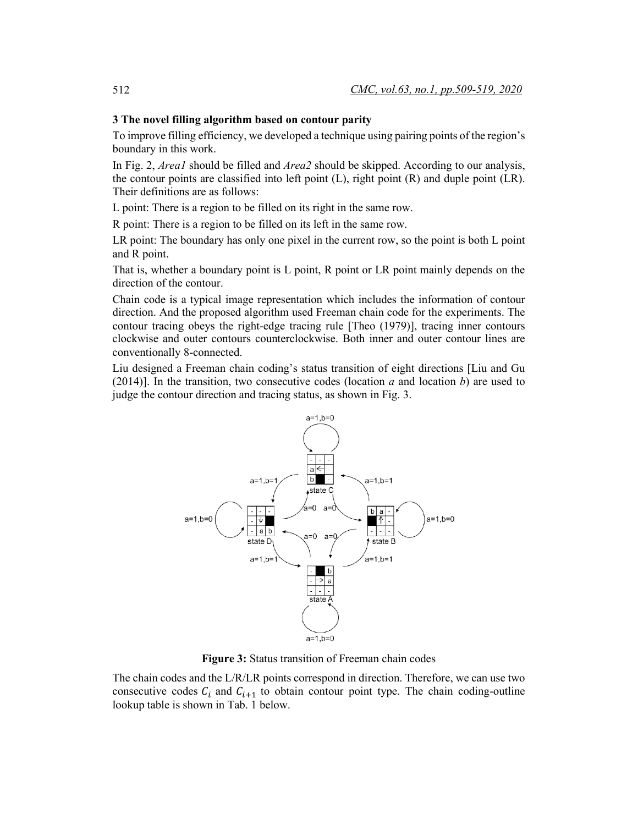#### **3 The novel filling algorithm based on contour parity**

To improve filling efficiency, we developed a technique using pairing points of the region's boundary in this work.

In Fig. 2, *Area1* should be filled and *Area2* should be skipped. According to our analysis, the contour points are classified into left point (L), right point (R) and duple point (LR). Their definitions are as follows:

L point: There is a region to be filled on its right in the same row.

R point: There is a region to be filled on its left in the same row.

LR point: The boundary has only one pixel in the current row, so the point is both L point and R point.

That is, whether a boundary point is L point, R point or LR point mainly depends on the direction of the contour.

Chain code is a typical image representation which includes the information of contour direction. And the proposed algorithm used Freeman chain code for the experiments. The contour tracing obeys the right-edge tracing rule [Theo (1979)], tracing inner contours clockwise and outer contours counterclockwise. Both inner and outer contour lines are conventionally 8-connected.

Liu designed a Freeman chain coding's status transition of eight directions [Liu and Gu (2014)]. In the transition, two consecutive codes (location *a* and location *b*) are used to judge the contour direction and tracing status, as shown in Fig. 3.



**Figure 3:** Status transition of Freeman chain codes

The chain codes and the L/R/LR points correspond in direction. Therefore, we can use two consecutive codes  $C_i$  and  $C_{i+1}$  to obtain contour point type. The chain coding-outline lookup table is shown in Tab. 1 below.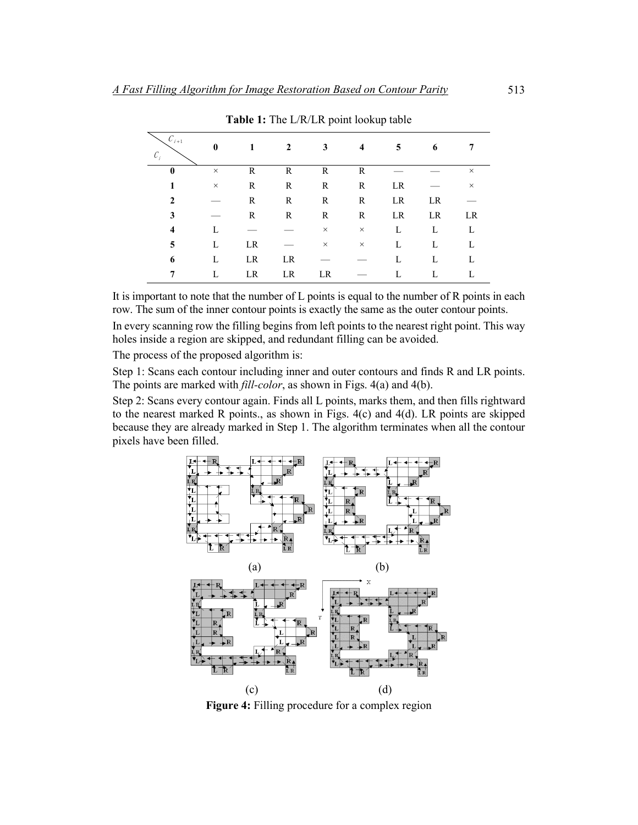| $C_{i+1}$<br>$\mathcal{C}_i$ | $\mathbf{0}$ |    | 2  | 3        | 4        | 5  | 6  |          |
|------------------------------|--------------|----|----|----------|----------|----|----|----------|
| $\bf{0}$                     | $\times$     | R  | R  | R        | R        |    |    | $\times$ |
|                              | $\times$     | R  | R  | R        | R        | LR |    | $\times$ |
| 2                            |              | R  | R  | R        | R        | LR | LR |          |
| 3                            |              | R  | R  | R        | R        | LR | LR | LR       |
| 4                            | L            |    |    | $\times$ | $\times$ | L  | L  | L        |
| 5                            | L            | LR |    | $\times$ | $\times$ | L  | L  | L        |
| 6                            | L            | LR | LR |          |          | L  | L  | L        |
|                              |              | LR | LR | LR       |          |    |    |          |

**Table 1:** The L/R/LR point lookup table

It is important to note that the number of L points is equal to the number of R points in each row. The sum of the inner contour points is exactly the same as the outer contour points.

In every scanning row the filling begins from left points to the nearest right point. This way holes inside a region are skipped, and redundant filling can be avoided.

The process of the proposed algorithm is:

Step 1: Scans each contour including inner and outer contours and finds R and LR points. The points are marked with *fill-color*, as shown in Figs. 4(a) and 4(b).

Step 2: Scans every contour again. Finds all L points, marks them, and then fills rightward to the nearest marked R points., as shown in Figs. 4(c) and 4(d). LR points are skipped because they are already marked in Step 1. The algorithm terminates when all the contour pixels have been filled.



**Figure 4:** Filling procedure for a complex region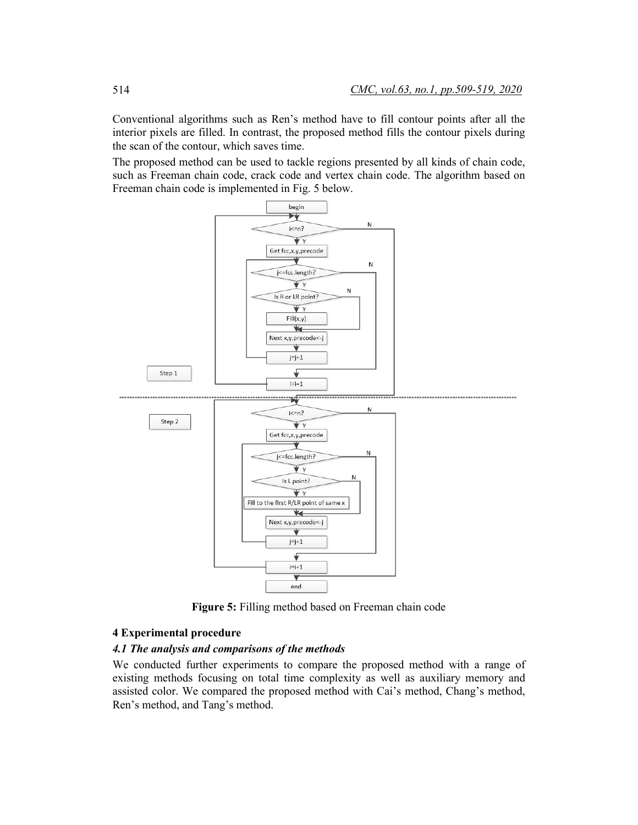Conventional algorithms such as Ren's method have to fill contour points after all the interior pixels are filled. In contrast, the proposed method fills the contour pixels during the scan of the contour, which saves time.

The proposed method can be used to tackle regions presented by all kinds of chain code, such as Freeman chain code, crack code and vertex chain code. The algorithm based on Freeman chain code is implemented in Fig. 5 below.



**Figure 5:** Filling method based on Freeman chain code

#### **4 Experimental procedure**

## *4.1 The analysis and comparisons of the methods*

We conducted further experiments to compare the proposed method with a range of existing methods focusing on total time complexity as well as auxiliary memory and assisted color. We compared the proposed method with Cai's method, Chang's method, Ren's method, and Tang's method.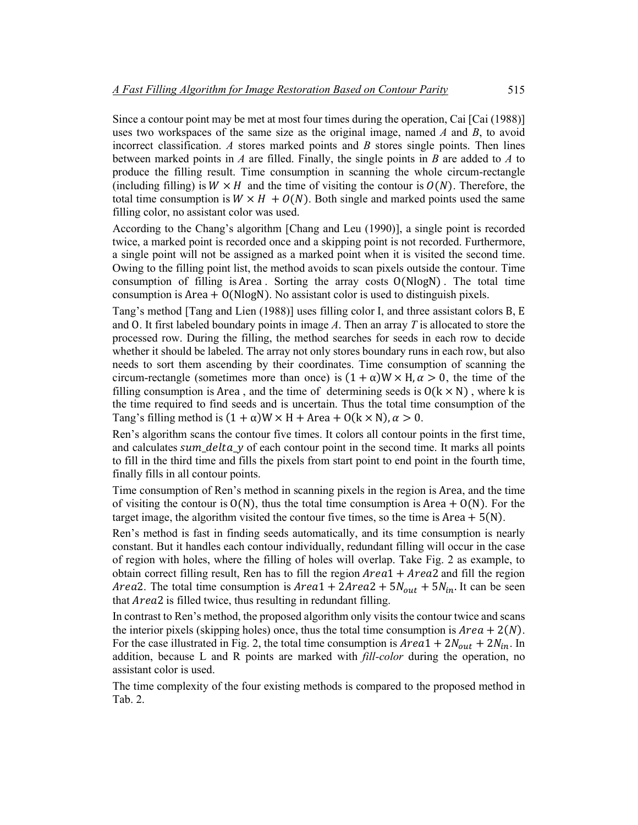Since a contour point may be met at most four times during the operation, Cai [Cai (1988)] uses two workspaces of the same size as the original image, named *A* and *B*, to avoid incorrect classification. *A* stores marked points and *B* stores single points. Then lines between marked points in *A* are filled. Finally, the single points in *B* are added to *A* to produce the filling result. Time consumption in scanning the whole circum-rectangle (including filling) is  $W \times H$  and the time of visiting the contour is  $O(N)$ . Therefore, the total time consumption is  $W \times H + O(N)$ . Both single and marked points used the same filling color, no assistant color was used.

According to the Chang's algorithm [Chang and Leu (1990)], a single point is recorded twice, a marked point is recorded once and a skipping point is not recorded. Furthermore, a single point will not be assigned as a marked point when it is visited the second time. Owing to the filling point list, the method avoids to scan pixels outside the contour. Time consumption of filling is Area. Sorting the array costs  $O(N \log N)$ . The total time consumption is Area  $+ O(N \log N)$ . No assistant color is used to distinguish pixels.

Tang's method [Tang and Lien (1988)] uses filling color I, and three assistant colors B, E and O. It first labeled boundary points in image *A*. Then an array *T* is allocated to store the processed row. During the filling, the method searches for seeds in each row to decide whether it should be labeled. The array not only stores boundary runs in each row, but also needs to sort them ascending by their coordinates. Time consumption of scanning the circum-rectangle (sometimes more than once) is  $(1 + \alpha)W \times H$ ,  $\alpha > 0$ , the time of the filling consumption is Area, and the time of determining seeds is  $O(k \times N)$ , where k is the time required to find seeds and is uncertain. Thus the total time consumption of the Tang's filling method is  $(1 + \alpha)W \times H + \text{Area} + O(k \times N), \alpha > 0.$ 

Ren's algorithm scans the contour five times. It colors all contour points in the first time, and calculates  $sum\_delta\_y$  of each contour point in the second time. It marks all points to fill in the third time and fills the pixels from start point to end point in the fourth time, finally fills in all contour points.

Time consumption of Ren's method in scanning pixels in the region is Area, and the time of visiting the contour is  $O(N)$ , thus the total time consumption is Area +  $O(N)$ . For the target image, the algorithm visited the contour five times, so the time is Area  $+ 5(N)$ .

Ren's method is fast in finding seeds automatically, and its time consumption is nearly constant. But it handles each contour individually, redundant filling will occur in the case of region with holes, where the filling of holes will overlap. Take Fig. 2 as example, to obtain correct filling result, Ren has to fill the region  $Area1 + Area2$  and fill the region *Area2.* The total time consumption is  $Area1 + 2Area2 + 5N_{out} + 5N_{in}$ . It can be seen that *Area*2 is filled twice, thus resulting in redundant filling.

In contrast to Ren's method, the proposed algorithm only visits the contour twice and scans the interior pixels (skipping holes) once, thus the total time consumption is  $Area + 2(N)$ . For the case illustrated in Fig. 2, the total time consumption is  $Area1 + 2N_{out} + 2N_{in}$ . In addition, because L and R points are marked with *fill-color* during the operation, no assistant color is used.

The time complexity of the four existing methods is compared to the proposed method in Tab. 2.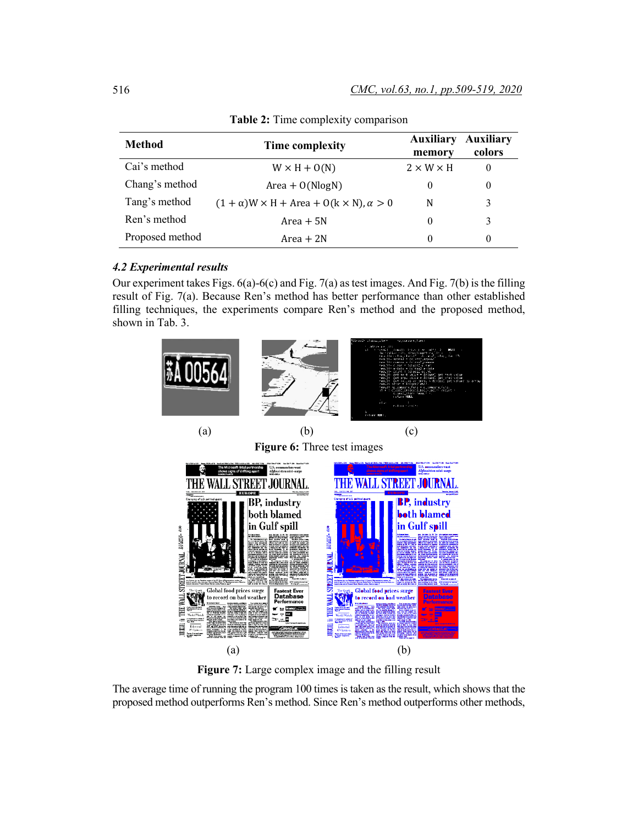| Method          | Time complexity                                      | <b>Auxiliary</b><br>memory | <b>Auxiliary</b><br>colors |
|-----------------|------------------------------------------------------|----------------------------|----------------------------|
| Cai's method    | $W \times H + O(N)$                                  | $2 \times W \times H$      | $\theta$                   |
| Chang's method  | $Area + O(NlogN)$                                    | $\theta$                   |                            |
| Tang's method   | $(1 + \alpha)$ W × H + Area + O(k × N), $\alpha > 0$ | N                          |                            |
| Ren's method    | $Area + 5N$                                          | $\theta$                   | 3                          |
| Proposed method | $Area + 2N$                                          | $\theta$                   | $\theta$                   |

**Table 2:** Time complexity comparison

### *4.2 Experimental results*

Our experiment takes Figs. 6(a)-6(c) and Fig. 7(a) as test images. And Fig. 7(b) is the filling result of Fig. 7(a). Because Ren's method has better performance than other established filling techniques, the experiments compare Ren's method and the proposed method, shown in Tab. 3.



**Figure 7:** Large complex image and the filling result

The average time of running the program 100 times is taken as the result, which shows that the proposed method outperforms Ren's method. Since Ren's method outperforms other methods,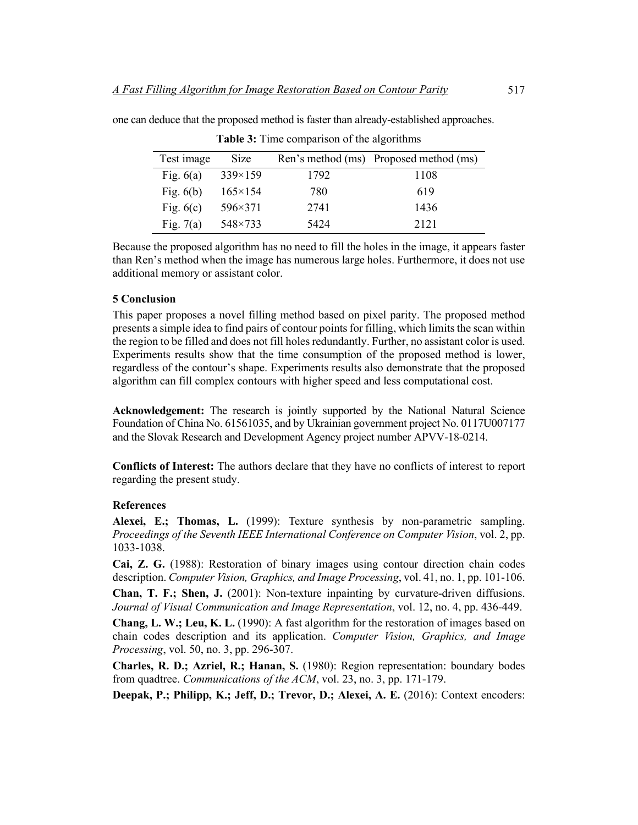| Test image  | <b>Size</b>      |      | Ren's method (ms) Proposed method (ms) |
|-------------|------------------|------|----------------------------------------|
| Fig. $6(a)$ | $339\times159$   | 1792 | 1108                                   |
| Fig. $6(b)$ | $165 \times 154$ | 780  | 619                                    |
| Fig. $6(c)$ | 596×371          | 2741 | 1436                                   |
| Fig. $7(a)$ | 548×733          | 5424 | 2121                                   |

**Table 3:** Time comparison of the algorithms

one can deduce that the proposed method is faster than already-established approaches.

Because the proposed algorithm has no need to fill the holes in the image, it appears faster than Ren's method when the image has numerous large holes. Furthermore, it does not use additional memory or assistant color.

#### **5 Conclusion**

This paper proposes a novel filling method based on pixel parity. The proposed method presents a simple idea to find pairs of contour points for filling, which limits the scan within the region to be filled and does not fill holes redundantly. Further, no assistant color is used. Experiments results show that the time consumption of the proposed method is lower, regardless of the contour's shape. Experiments results also demonstrate that the proposed algorithm can fill complex contours with higher speed and less computational cost.

**Acknowledgement:** The research is jointly supported by the National Natural Science Foundation of China No. 61561035, and by Ukrainian government project No. 0117U007177 and the Slovak Research and Development Agency project number APVV-18-0214.

**Conflicts of Interest:** The authors declare that they have no conflicts of interest to report regarding the present study.

#### **References**

**Alexei, E.; Thomas, L.** (1999): Texture synthesis by non-parametric sampling. *Proceedings of the Seventh IEEE International Conference on Computer Vision*, vol. 2, pp. 1033-1038.

**Cai, Z. G.** (1988): Restoration of binary images using contour direction chain codes description. *Computer Vision, Graphics, and Image Processing*, vol. 41, no. 1, pp. 101-106.

**Chan, T. F.; Shen, J.** (2001): Non-texture inpainting by curvature-driven diffusions. *Journal of Visual Communication and Image Representation*, vol. 12, no. 4, pp. 436-449.

**Chang, L. W.; Leu, K. L.** (1990): A fast algorithm for the restoration of images based on chain codes description and its application. *Computer Vision, Graphics, and Image Processing*, vol. 50, no. 3, pp. 296-307.

**Charles, R. D.; Azriel, R.; Hanan, S.** (1980): Region representation: boundary bodes from quadtree. *Communications of the ACM*, vol. 23, no. 3, pp. 171-179.

**Deepak, P.; Philipp, K.; Jeff, D.; Trevor, D.; Alexei, A. E.** (2016): Context encoders: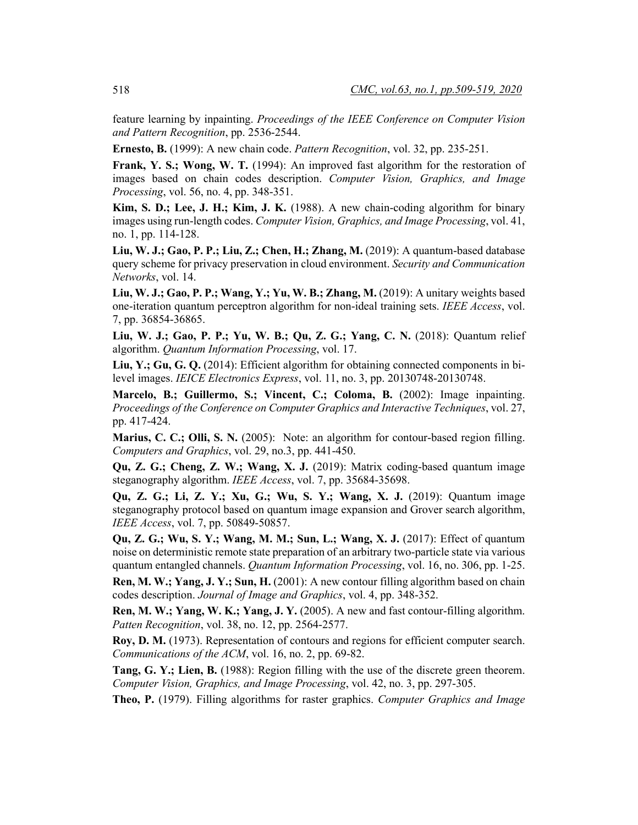feature learning by inpainting. *Proceedings of the IEEE Conference on Computer Vision and Pattern Recognition*, pp. 2536-2544.

**Ernesto, B.** (1999): A new chain code. *Pattern Recognition*, vol. 32, pp. 235-251.

**Frank, Y. S.; Wong, W. T.** (1994): An improved fast algorithm for the restoration of images based on chain codes description. *Computer Vision, Graphics, and Image Processing*, vol. 56, no. 4, pp. 348-351.

**Kim, S. D.; Lee, J. H.; Kim, J. K.** (1988). A new chain-coding algorithm for binary images using run-length codes. *Computer Vision, Graphics, and Image Processing*, vol. 41, no. 1, pp. 114-128.

**Liu, W. J.; Gao, P. P.; Liu, Z.; Chen, H.; Zhang, M.** (2019): A quantum-based database query scheme for privacy preservation in cloud environment. *Security and Communication Networks*, vol. 14.

**Liu, W. J.; Gao, P. P.; Wang, Y.; Yu, W. B.; Zhang, M.** (2019): A unitary weights based one-iteration quantum perceptron algorithm for non-ideal training sets. *IEEE Access*, vol. 7, pp. 36854-36865.

**Liu, W. J.; Gao, P. P.; Yu, W. B.; Qu, Z. G.; Yang, C. N.** (2018): Quantum relief algorithm. *Quantum Information Processing*, vol. 17.

**Liu, Y.; Gu, G. Q.** (2014): Efficient algorithm for obtaining connected components in bilevel images. *IEICE Electronics Express*, vol. 11, no. 3, pp. 20130748-20130748.

**Marcelo, B.; Guillermo, S.; Vincent, C.; Coloma, B.** (2002): Image inpainting. *Proceedings of the Conference on Computer Graphics and Interactive Techniques*, vol. 27, pp. 417-424.

**Marius, C. C.; Olli, S. N.** (2005): Note: an algorithm for contour-based region filling. *Computers and Graphics*, vol. 29, no.3, pp. 441-450.

**Qu, Z. G.; Cheng, Z. W.; Wang, X. J.** (2019): Matrix coding-based quantum image steganography algorithm. *IEEE Access*, vol. 7, pp. 35684-35698.

**Qu, Z. G.; Li, Z. Y.; Xu, G.; Wu, S. Y.; Wang, X. J.** (2019): Quantum image steganography protocol based on quantum image expansion and Grover search algorithm, *IEEE Access*, vol. 7, pp. 50849-50857.

**Qu, Z. G.; Wu, S. Y.; Wang, M. M.; Sun, L.; Wang, X. J.** (2017): Effect of quantum noise on deterministic remote state preparation of an arbitrary two-particle state via various quantum entangled channels. *Quantum Information Processing*, vol. 16, no. 306, pp. 1-25.

**Ren, M. W.; Yang, J. Y.; Sun, H.** (2001): A new contour filling algorithm based on chain codes description. *Journal of Image and Graphics*, vol. 4, pp. 348-352.

**Ren, M. W.; Yang, W. K.; Yang, J. Y.** (2005). A new and fast contour-filling algorithm. *Patten Recognition*, vol. 38, no. 12, pp. 2564-2577.

**Roy, D. M.** (1973). Representation of contours and regions for efficient computer search. *Communications of the ACM*, vol. 16, no. 2, pp. 69-82.

**Tang, G. Y.; Lien, B.** (1988): Region filling with the use of the discrete green theorem. *Computer Vision, Graphics, and Image Processing*, vol. 42, no. 3, pp. 297-305.

**Theo, P.** (1979). Filling algorithms for raster graphics. *Computer Graphics and Image*